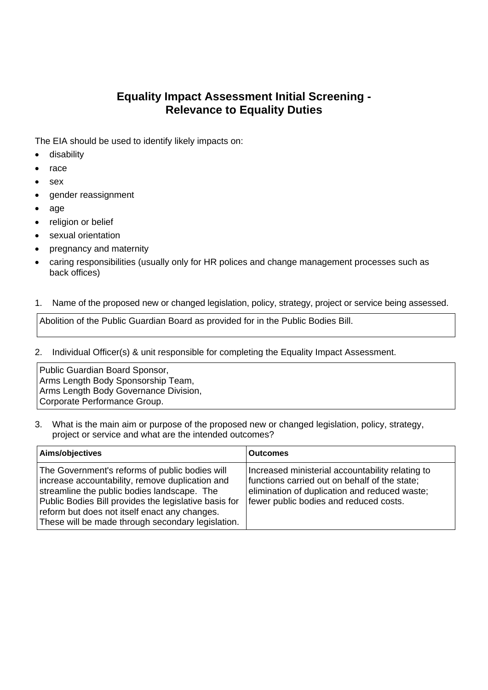## **Equality Impact Assessment Initial Screening - Relevance to Equality Duties**

The EIA should be used to identify likely impacts on:

- **•** disability
- race
- sex
- gender reassignment
- age
- religion or belief
- sexual orientation
- pregnancy and maternity
- caring responsibilities (usually only for HR polices and change management processes such as back offices)

## 1. Name of the proposed new or changed legislation, policy, strategy, project or service being assessed.

Abolition of the Public Guardian Board as provided for in the Public Bodies Bill.

2. Individual Officer(s) & unit responsible for completing the Equality Impact Assessment.

Public Guardian Board Sponsor, Arms Length Body Sponsorship Team, Arms Length Body Governance Division, Corporate Performance Group.

3. What is the main aim or purpose of the proposed new or changed legislation, policy, strategy, project or service and what are the intended outcomes?

| Aims/objectives                                                                                                                                                                                                                                                                                                 | <b>Outcomes</b>                                                                                                                                                                              |
|-----------------------------------------------------------------------------------------------------------------------------------------------------------------------------------------------------------------------------------------------------------------------------------------------------------------|----------------------------------------------------------------------------------------------------------------------------------------------------------------------------------------------|
| The Government's reforms of public bodies will<br>increase accountability, remove duplication and<br>streamline the public bodies landscape. The<br>Public Bodies Bill provides the legislative basis for<br>reform but does not itself enact any changes.<br>These will be made through secondary legislation. | Increased ministerial accountability relating to<br>functions carried out on behalf of the state;<br>elimination of duplication and reduced waste;<br>fewer public bodies and reduced costs. |